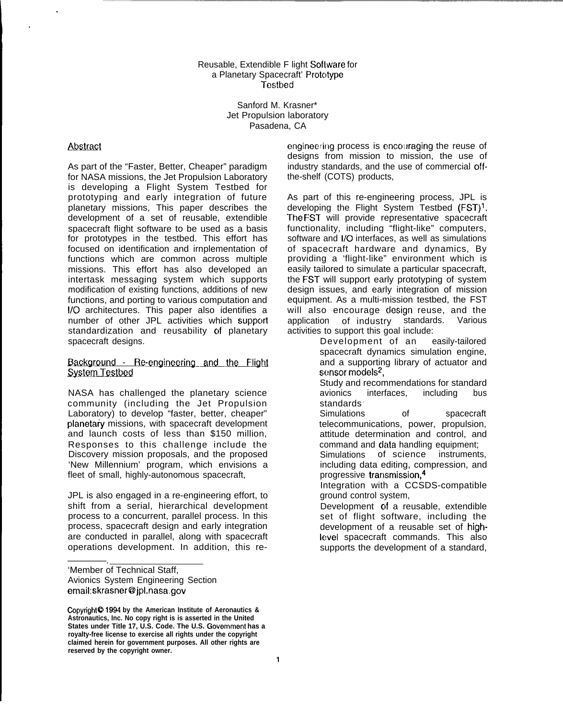#### Reusable, Extendible F light Software for a Planetary Spacecraft' Prototype Testbed

Sanford M. Krasner\* Jet Propulsion laboratory Pasadena, CA

# **Abstract**

As part of the "Faster, Better, Cheaper" paradigm for NASA missions, the Jet Propulsion Laboratory is developing a Flight System Testbed for prototyping and early integration of future planetary missions, This paper describes the development of a set of reusable, extendible spacecraft flight software to be used as a basis for prototypes in the testbed. This effort has focused on identification and irnplementation of functions which are common across multiple missions. This effort has also developed an intertask messaging system which supports modification of existing functions, additions of new functions, and porting to various computation and 1/0 architectures. This paper also identifies a number of other JPL activities which support standardization and reusability of planetary spacecraft designs.

### Background - Re-engineering and the Flight System Testbed

NASA has challenged the planetary science community (including the Jet Propulsion Laboratory) to develop "faster, better, cheaper" planetary missions, with spacecraft development and launch costs of less than \$150 million, Responses to this challenge include the Discovery mission proposals, and the proposed 'New Millennium' program, which envisions a fleet of small, highly-autonomous spacecraft,

JPL is also engaged in a re-engineering effort, to shift from a serial, hierarchical development process to a concurrent, parallel process. In this process, spacecraft design and early integration are conducted in parallel, along with spacecraft operations development. In addition, this re-

—————. 'Member of Technical Staff, Avionics System Engineering Section email: skrasner@jpl.nasa, gov

engineering process is encouraging the reuse of designs from mission to mission, the use of industry standards, and the use of commercial offthe-shelf (COTS) products,

As part of this re-engineering process, JPL is developing the Flight System Testbed (FST)<sup>1</sup>. The FST will provide representative spacecraft functionality, including "flight-like" computers, software and I/O interfaces, as well as simulations of spacecraft hardware and dynamics, By providing a 'flight-like" environment which is easily tailored to simulate a particular spacecraft, the FST will support early prototyping of system design issues, and early integration of mission equipment. As a multi-mission testbed, the FST will also encourage design reuse, and the application of industry standards. Various activities to support this goal include:

> Development of an easily-tailored spacecraft dynamics simulation engine, and a supporting library of actuator and sensor models<sup>2</sup>,

> Study and recommendations for standard avionics interfaces, including bus standards<sup>®</sup>

> Simulations of spacecraft telecommunications, power, propulsion, attitude determination and control, and command and data handling equipment;

> Simulations of science instruments, including data editing, compression, and progressive transmission,<sup>4</sup>

Integration with a CCSDS-compatible ground control system,

Development of a reusable, extendible set of flight software, including the development of a reusable set of high-Ievel spacecraft commands. This also supports the development of a standard,

**Copyrighl 01994 by the American Institute of Aeronautics & Astronautics, Inc. No copy right is is asserted in the United States under Title 17, U.S. Code. The U.S. Govemmenl has a royalty-free license to exercise all rights under the copyright claimed herein for government purposes. All other rights are reserved by the copyright owner.**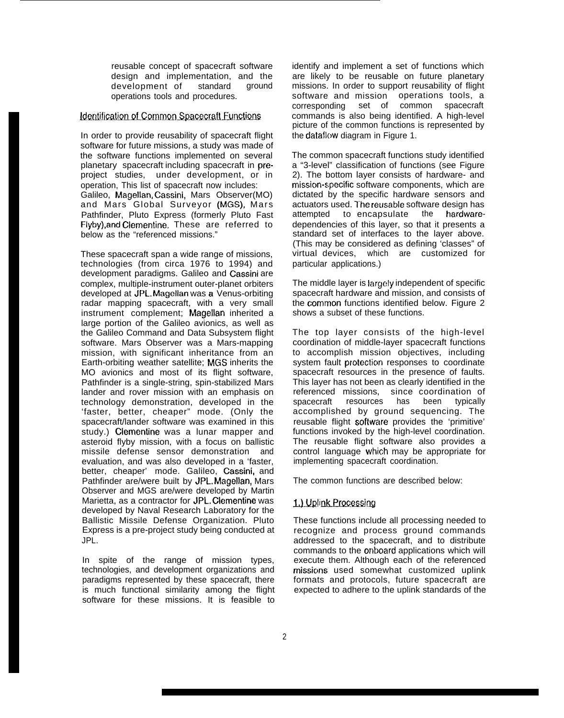reusable concept of spacecraft software design and implementation, and the development of standard ground operations tools and procedures.

### Identification of Common Spacecraft Functions

In order to provide reusability of spacecraft flight software for future missions, a study was made of the software functions implemented on several planetary spacecraft including spacecraft in preproject studies, under development, or in operation, This list of spacecraft now includes: Galileo, Magellan, Cassini, Mars Observer(MO) and Mars Global Surveyor (MGS), Mars Pathfinder, Pluto Express (formerly Pluto Fast Flyby),and Clementine. These are referred to below as the "referenced missions."

These spacecraft span a wide range of missions, technologies (from circa 1976 to 1994) and development paradigms. Galileo and Cassini are complex, multiple-instrument outer-planet orbiters developed at JPL, Magellan was a Venus-orbiting radar mapping spacecraft, with a very small instrument complement; Magellan inherited a large portion of the Galileo avionics, as well as the Galileo Command and Data Subsystem flight software. Mars Observer was a Mars-mapping mission, with significant inheritance from an Earth-orbiting weather satellite; MGS inherits the MO avionics and most of its flight software, Pathfinder is a single-string, spin-stabilized Mars lander and rover mission with an emphasis on technology demonstration, developed in the 'faster, better, cheaper" mode. (Only the spacecraft/lander software was examined in this study.) Clementine was a lunar mapper and asteroid flyby mission, with a focus on ballistic missile defense sensor demonstration and evaluation, and was also developed in a 'faster, better, cheaper' mode. Galileo, Cassini, and Pathfinder are/were built by JPL, Magellan, Mars Observer and MGS are/were developed by Martin Marietta, as a contractor for JPL, Clementine was developed by Naval Research Laboratory for the Ballistic Missile Defense Organization. Pluto Express is a pre-project study being conducted at JPL.

In spite of the range of mission types, technologies, and development organizations and paradigms represented by these spacecraft, there is much functional similarity among the flight software for these missions. It is feasible to

identify and implement a set of functions which are likely to be reusable on future planetary missions. In order to support reusability of flight software and mission operations tools, a corresponding set of common spacecraft commands is also being identified. A high-level picture of the common functions is represented by the dataflow diagram in Figure 1.

The common spacecraft functions study identified a "3-level" classification of functions (see Figure 2). The bottom layer consists of hardware- and missicm-specific software components, which are dictated by the specific hardware sensors and actuators used. The reusable software design has attempted to encapsulate the hardwaredependencies of this layer, so that it presents a standard set of interfaces to the layer above. (This may be considered as defining 'classes" of virtual devices, which are customized for particular applications.)

The middle layer is largely independent of specific spacecraft hardware and mission, and consists of the common functions identified below. Figure 2 shows a subset of these functions.

The top layer consists of the high-level coordination of middle-layer spacecraft functions to accomplish mission objectives, including system fault protection responses to coordinate spacecraft resources in the presence of faults. This layer has not been as clearly identified in the referenced missions, since coordination of spacecraft resources has been typically accomplished by ground sequencing. The reusable flight software provides the 'primitive' functions invoked by the high-level coordination. The reusable flight software also provides a control language which may be appropriate for implementing spacecraft coordination.

The common functions are described below:

#### 1.) Uplink Processing

These functions include all processing needed to recognize and process ground commands addressed to the spacecraft, and to distribute commands to the onboard applications which will execute them. Although each of the referenced missicms used somewhat customized uplink formats and protocols, future spacecraft are expected to adhere to the uplink standards of the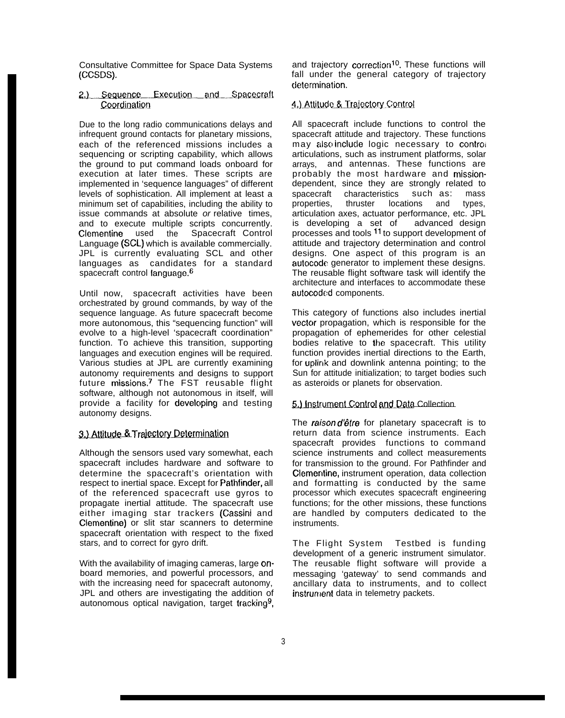Consultative Committee for Space Data Systems (CCSDS).

# 2.) Sequence Execution and Spacecraft Coordination

Due to the long radio communications delays and infrequent ground contacts for planetary missions, each of the referenced missions includes a sequencing or scripting capability, which allows the ground to put command loads onboard for execution at later times. These scripts are implemented in 'sequence languages" of different levels of sophistication. All implement at least a minimum set of capabilities, including the ability to issue commands at absolute or relative times, and to execute multiple scripts concurrently. Clementine used the Spacecraft Control Language (SCL) which is available commercially. JPL is currently evaluating SCL and other languages as candidates for a standard spacecraft control language.<sup>6</sup>

Until now, spacecraft activities have been orchestrated by ground commands, by way of the sequence language. As future spacecraft become more autonomous, this "sequencing function" will evolve to a high-level 'spacecraft coordination" function. To achieve this transition, supporting languages and execution engines will be required. Various studies at JPL are currently examining autonomy requirements and designs to support future missions.7 The FST reusable flight software, although not autonomous in itself, will provide a facility for developing and testing autonomy designs.

# 3.) Attitude & Trajectory Determination

Although the sensors used vary somewhat, each spacecraft includes hardware and software to determine the spacecraft's orientation with respect to inertial space. Except for Pathfinder, all of the referenced spacecraft use gyros to propagate inertial attitude. The spacecraft use either imaging star trackers (Cassini and Clementine) or slit star scanners to determine spacecraft orientation with respect to the fixed stars, and to correct for gyro drift.

With the availability of imaging cameras, large onboard memories, and powerful processors, and with the increasing need for spacecraft autonomy, JPL and others are investigating the addition of autonomous optical navigation, target tracking<sup>9</sup>,

and trajectory correction<sup>10</sup>. These functions will fall under the general category of trajectory cietermination.

# 4.) Attitude & Trajectory Control

All spacecraft include functions to control the spacecraft attitude and trajectory. These functions may also include logic necessary to control articulations, such as instrument platforms, solar arrays, and antennas. These functions are probably the most hardware and missiondependent, since they are strongly related to spacecraft characteristics such as: mass properties, thruster locations and types, articulation axes, actuator performance, etc. JPL is developing a set of advanced design processes and tools 11 to support development of attitude and trajectory determination and control designs. One aspect of this program is an autocode generator to implement these designs. The reusable flight software task will identify the architecture and interfaces to accommodate these autocodcd components.

This category of functions also includes inertial vector propagation, which is responsible for the propagation of ephemerides for other celestial bodies relative to the spacecraft. This utility function provides inertial directions to the Earth, for uplink and downlink antenna pointing; to the Sun for attitude initialization; to target bodies such as asteroids or planets for observation.

# 5.) Instrument Control and Data Collection

The raison d'être for planetary spacecraft is to return data from science instruments. Each spacecraft provides functions to command science instruments and collect measurements for transmission to the ground. For Pathfinder and Clementine, instrument operation, data collection and formatting is conducted by the same processor which executes spacecraft engineering functions; for the other missions, these functions are handled by computers dedicated to the instruments.

The Flight System Testbed is funding development of a generic instrument simulator. The reusable flight software will provide a messaging 'gateway' to send commands and ancillary data to instruments, and to collect instrument data in telemetry packets.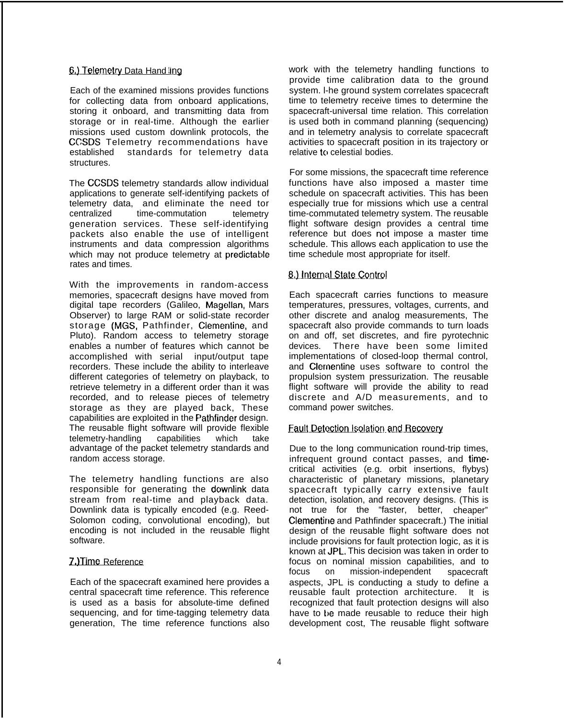### 6.) Telemetry Data Hand Ing

Each of the examined missions provides functions for collecting data from onboard applications, storing it onboard, and transmitting data from storage or in real-time. Although the earlier missions used custom downlink protocols, the CCSDS Telemetry recommendations have established standards for telemetry data structures.

The CCSDS telemetry standards allow individual applications to generate self-identifying packets of telemetry data, and eliminate the need tor centralized time-commutation telemetry generation services. These self-identifying packets also enable the use of intelligent instruments and data compression algorithms which may not produce telemetry at predictable rates and times.

With the improvements in random-access memories, spacecraft designs have moved from digital tape recorders (Galileo, Magellan, Mars Observer) to large RAM or solid-state recorder storage (MGS, Pathfinder, Clementine, and Pluto). Random access to telemetry storage enables a number of features which cannot be accomplished with serial input/output tape recorders. These include the ability to interleave different categories of telemetry on playback, to retrieve telemetry in a different order than it was recorded, and to release pieces of telemetry storage as they are played back, These capabilities are exploited in the Pathfinder design. The reusable flight software will provide flexible telemetry-handling capabilities which take advantage of the packet telemetry standards and random access storage.

The telemetry handling functions are also responsible for generating the downlink data stream from real-time and playback data. Downlink data is typically encoded (e.g. Reed-Solomon coding, convolutional encoding), but encoding is not included in the reusable flight software.

### ZJTime Reference

Each of the spacecraft examined here provides a central spacecraft time reference. This reference is used as a basis for absolute-time defined sequencing, and for time-tagging telemetry data generation, The time reference functions also work with the telemetry handling functions to provide time calibration data to the ground system. l-he ground system correlates spacecraft time to telemetry receive times to determine the spacecraft-universal time relation. This correlation is used both in command planning (sequencing) and in telemetry analysis to correlate spacecraft activities to spacecraft position in its trajectory or relative to celestial bodies.

For some missions, the spacecraft time reference functions have also imposed a master time schedule on spacecraft activities. This has been especially true for missions which use a central time-commutated telemetry system. The reusable flight software design provides a central time reference but does not impose a master time schedule. This allows each application to use the time schedule most appropriate for itself.

# **8.) Internal State Control**

Each spacecraft carries functions to measure temperatures, pressures, voltages, currents, and other discrete and analog measurements, The spacecraft also provide commands to turn loads on and off, set discretes, and fire pyrotechnic devices. There have been some limited implementations of closed-loop thermal control, and Clernentine uses software to control the propulsion system pressurization. The reusable flight software will provide the ability to read discrete and A/D measurements, and to command power switches.

### Fault Detection Isolation and Recovery

Due to the long communication round-trip times, infrequent ground contact passes, and timecritical activities (e.g. orbit insertions, flybys) characteristic of planetary missions, planetary spacecraft typically carry extensive fault detection, isolation, and recovery designs. (This is not true for the "faster, better, cheaper" Clementine and Pathfinder spacecraft.) The initial design of the reusable flight software does not include provisions for fault protection logic, as it is known at JPL. This decision was taken in order to focus on nominal mission capabilities, and to focus on mission-independent spacecraft aspects, JPL is conducting a study to define a reusable fault protection architecture. It is recognized that fault protection designs will also have to be made reusable to reduce their high development cost, The reusable flight software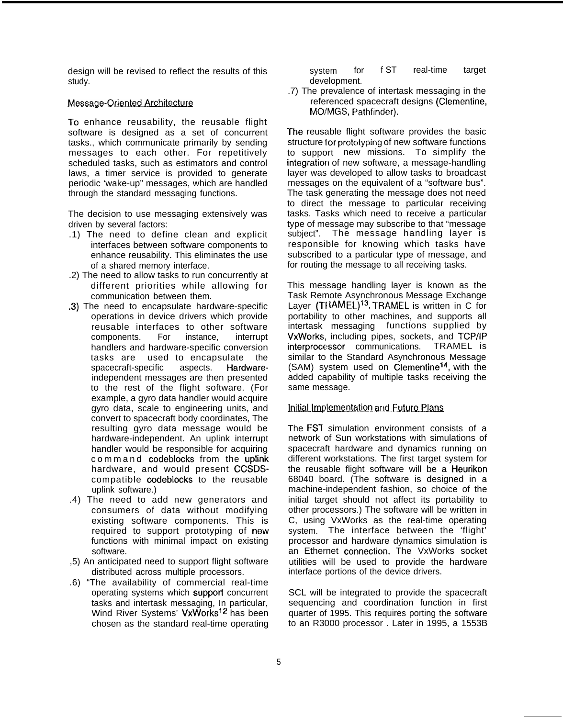design will be revised to reflect the results of this study.

#### **Message-Oriented Architecture**

To enhance reusability, the reusable flight software is designed as a set of concurrent tasks., which communicate primarily by sending messages to each other. For repetitively scheduled tasks, such as estimators and control laws, a timer service is provided to generate periodic 'wake-up" messages, which are handled through the standard messaging functions.

The decision to use messaging extensively was driven by several factors:

- .1) The need to define clean and explicit interfaces between software components to enhance reusability. This eliminates the use of a shared memory interface.
- .2) The need to allow tasks to run concurrently at different priorities while allowing for communication between them.
- ,3) The need to encapsulate hardware-specific operations in device drivers which provide reusable interfaces to other software components. For instance, interrupt handlers and hardware-specific conversion tasks are used to encapsulate the spacecraft-specific aspects. Hardwareindependent messages are then presented to the rest of the flight software. (For example, a gyro data handler would acquire gyro data, scale to engineering units, and convert to spacecraft body coordinates, The resulting gyro data message would be hardware-independent. An uplink interrupt handler would be responsible for acquiring command codeblocks from the uplink hardware, and would present CCSDScompatible codeblocks to the reusable uplink software.)
- .4) The need to add new generators and consumers of data without modifying existing software components. This is required to support prototyping of new functions with minimal impact on existing software.
- ,5) An anticipated need to support flight software distributed across multiple processors.
- .6) "The availability of commercial real-time operating systems which support concurrent tasks and intertask messaging, In particular, Wind River Systems' VxWorks<sup>12</sup> has been chosen as the standard real-time operating

system for f ST real-time target development.

.7) The prevalence of intertask messaging in the referenced spacecraft designs (Clementine, MO/MGS, Pathfinder).

The reusable flight software provides the basic structure for prototyping of new software functions to support new missions. To simplify the integration of new software, a message-handling layer was developed to allow tasks to broadcast messages on the equivalent of a "software bus". The task generating the message does not need to direct the message to particular receiving tasks. Tasks which need to receive a particular type of message may subscribe to that "message subject". The message handling layer is responsible for knowing which tasks have subscribed to a particular type of message, and for routing the message to all receiving tasks.

This message handling layer is known as the Task Remote Asynchronous Message Exchange Layer (THAMEL)<sup>13</sup>. TRAMEL is written in C for portability to other machines, and supports all intertask messaging functions supplied by VxWorks, including pipes, sockets, and TCP/lP interproccssor communications. TRAMEL is similar to the Standard Asynchronous Message (SAM) system used on Clementine14, with the added capability of multiple tasks receiving the same message.

#### Initial Implementation and Future Plans

The FST simulation environment consists of a network of Sun workstations with simulations of spacecraft hardware and dynamics running on different workstations. The first target system for the reusable flight software will be a Heurikon 68040 board. (The software is designed in a machine-independent fashion, so choice of the initial target should not affect its portability to other processors.) The software will be written in C, using VxWorks as the real-time operating system. The interface between the 'flight' processor and hardware dynamics simulation is an Ethernet connection. The VxWorks socket utilities will be used to provide the hardware interface portions of the device drivers.

SCL will be integrated to provide the spacecraft sequencing and coordination function in first quarter of 1995. This requires porting the software to an R3000 processor . Later in 1995, a 1553B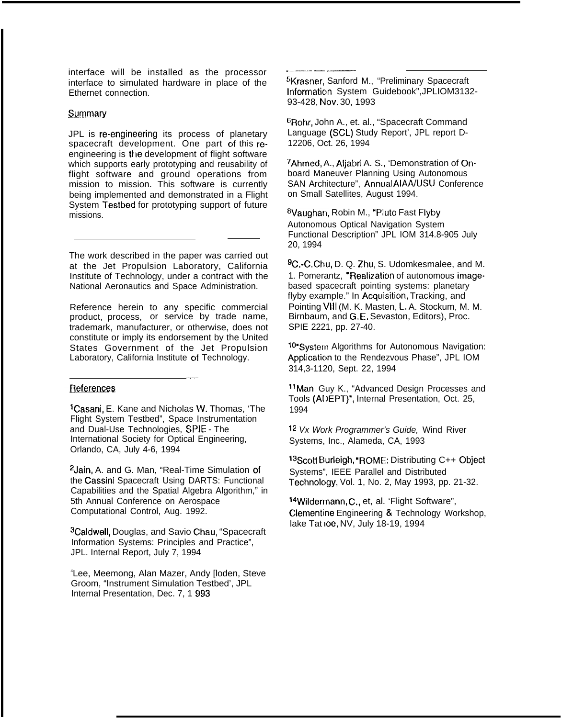interface will be installed as the processor interface to simulated hardware in place of the Ethernet connection.

#### **Summary**

JPL is re-engineering its process of planetary spacecraft development. One part of this reengineering is the development of flight software which supports early prototyping and reusability of flight software and ground operations from mission to mission. This software is currently being implemented and demonstrated in a Flight System Testbed for prototyping support of future missions.

The work described in the paper was carried out at the Jet Propulsion Laboratory, California Institute of Technology, under a contract with the National Aeronautics and Space Administration.

Reference herein to any specific commercial product, process, or service by trade name, trademark, manufacturer, or otherwise, does not constitute or imply its endorsement by the United States Government of the Jet Propulsion Laboratory, California Institute of Technology.

——

# References

'Casani, E. Kane and Nicholas \fV. Thomas, 'The Flight System Testbed", Space Instrumentation and Dual-Use Technologies, SPIE - The International Society for Optical Engineering, Orlando, CA, July 4-6, 1994

2Jain, A. and G. Man, "Real-Time Simulation of the Cassini Spacecraft Using DARTS: Functional Capabilities and the Spatial Algebra Algorithm," in 5th Annual Conference on Aerospace Computational Control, Aug. 1992.

3Caldwell, Douglas, and Savio Chau, "Spacecraft Information Systems: Principles and Practice", JPL. Internal Report, July 7, 1994

4 Lee, Meemong, Alan Mazer, Andy [loden, Steve Groom, "Instrument Simulation Testbed', JPL Internal Presentation, Dec. 7, 1 993

.——. —.— 5Krasner, Sanford M., "Preliminary Spacecraft Informaticm System Guidebook",JPLIOM3132- 93-428, Nov. 30, 1993

<sup>6</sup>Rohr, John A., et. al., "Spacecraft Command Language (SCL) Study Report', JPL report D-12206, Oct. 26, 1994

7Ahmed, A., Aljabri A. S., 'Demonstration of Onboard Maneuver Planning Using Autonomous SAN Architecture", Annual AIAA/USU Conference on Small Satellites, August 1994.

8Vaughan, Robin M., "Pluto Fast Flyby Autonomous Optical Navigation System Functional Description" JPL IOM 314.8-905 July 20, 1994

<sup>9</sup>C.-C.Chu, D. Q. Zhu, S. Udomkesmalee, and M. 1. Pomerantz, "Realization of autonomous imagebased spacecraft pointing systems: planetary flyby example." In Acquisition, Tracking, and Pointing Vlll (M. K. Masten, L. A. Stockum, M. M. Birnbaum, and G, E, Sevaston, Editors), Proc. SPIE 2221, pp. 27-40.

10\*System Algorithms for Autonomous Navigation: Applicaticm to the Rendezvous Phase", JPL IOM 314,3-1120, Sept. 22, 1994

11 Man, Guy K., "Advanced Design Processes and Tools (ADEPT)<sup>\*</sup>, Internal Presentation, Oct. 25, 1994

12 Vx Work Programmer's Guide, Wind River Systems, Inc., Alameda, CA, 1993

13Scott Burleigh, "ROME: Distributing C++ Object Systems", IEEE Parallel and Distributed Technolcjgy, Vol. 1, No. 2, May 1993, pp. 21-32.

14 Wildermann, C., et, al. 'Flight Software", Clementine Engineering & Technology Workshop, lake Tat Ioe, NV, July 18-19, 1994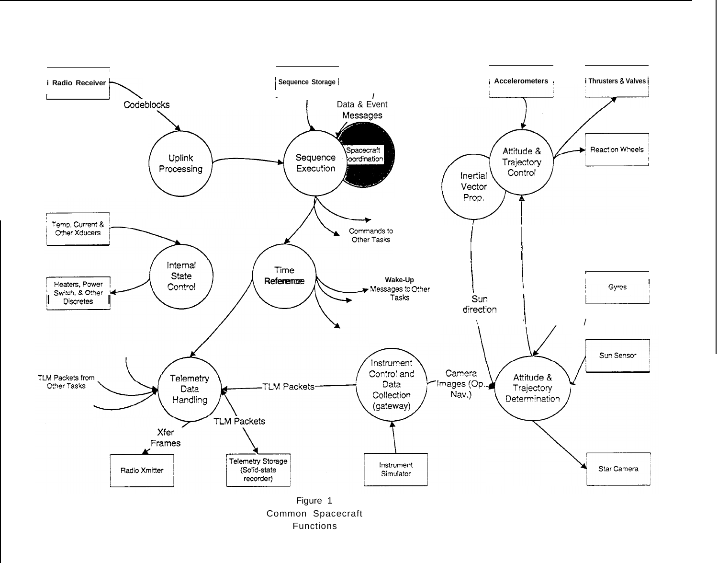